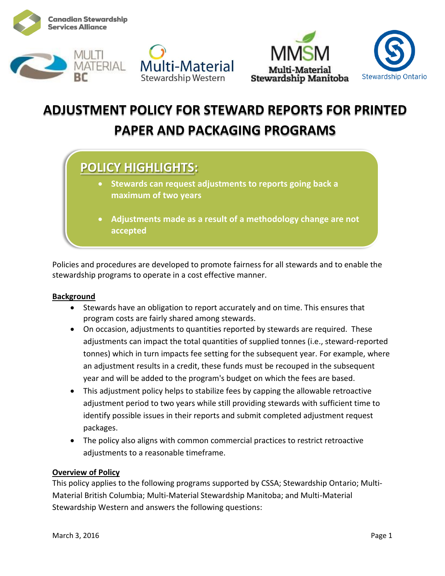









# **ADJUSTMENT POLICY FOR STEWARD REPORTS FOR PRINTED PAPER AND PACKAGING PROGRAMS**

## **POLICY HIGHLIGHTS:**

- **Stewards can request adjustments to reports going back a maximum of two years**
- **Adjustments made as a result of a methodology change are not accepted**

Policies and procedures are developed to promote fairness for all stewards and to enable the stewardship programs to operate in a cost effective manner.

#### **Background**

- Stewards have an obligation to report accurately and on time. This ensures that program costs are fairly shared among stewards.
- On occasion, adjustments to quantities reported by stewards are required. These adjustments can impact the total quantities of supplied tonnes (i.e., steward-reported tonnes) which in turn impacts fee setting for the subsequent year. For example, where an adjustment results in a credit, these funds must be recouped in the subsequent year and will be added to the program's budget on which the fees are based.
- This adjustment policy helps to stabilize fees by capping the allowable retroactive adjustment period to two years while still providing stewards with sufficient time to identify possible issues in their reports and submit completed adjustment request packages.
- The policy also aligns with common commercial practices to restrict retroactive adjustments to a reasonable timeframe.

#### **Overview of Policy**

This policy applies to the following programs supported by CSSA; Stewardship Ontario; Multi-Material British Columbia; Multi-Material Stewardship Manitoba; and Multi-Material Stewardship Western and answers the following questions: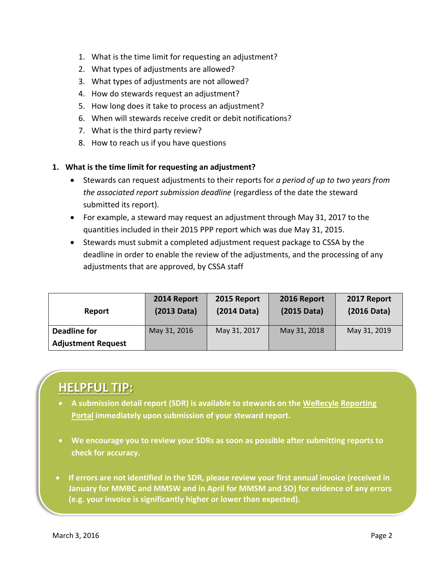- 1. What is the time limit for requesting an adjustment?
- 2. What types of adjustments are allowed?
- 3. What types of adjustments are not allowed?
- 4. How do stewards request an adjustment?
- 5. How long does it take to process an adjustment?
- 6. When will stewards receive credit or debit notifications?
- 7. What is the third party review?
- 8. How to reach us if you have questions

#### **1. What is the time limit for requesting an adjustment?**

- Stewards can request adjustments to their reports for *a period of up to two years from the associated report submission deadline* (regardless of the date the steward submitted its report).
- For example, a steward may request an adjustment through May 31, 2017 to the quantities included in their 2015 PPP report which was due May 31, 2015.
- Stewards must submit a completed adjustment request package to CSSA by the deadline in order to enable the review of the adjustments, and the processing of any adjustments that are approved, by CSSA staff

| Report                    | 2014 Report<br>(2013 Data) | 2015 Report<br>(2014 Data) | 2016 Report<br>$(2015 \text{ Data})$ | 2017 Report<br>(2016 Data) |
|---------------------------|----------------------------|----------------------------|--------------------------------------|----------------------------|
| <b>Deadline for</b>       | May 31, 2016               | May 31, 2017               | May 31, 2018                         | May 31, 2019               |
| <b>Adjustment Request</b> |                            |                            |                                      |                            |

# **HELPFUL TIP:**

- **A submission detail report (SDR) is available to stewards on the WeRecyle [Reporting](https://werecycle.cssalliance.ca/irj/portal)  [Portal](https://werecycle.cssalliance.ca/irj/portal) immediately upon submission of your steward report.**
- **We encourage you to review your SDRs as soon as possible after submitting reports to check for accuracy.**
- **If errors are not identified in the SDR, please review your first annual invoice (received in January for MMBC and MMSW and in April for MMSM and SO) for evidence of any errors (e.g. your invoice is significantly higher or lower than expected).**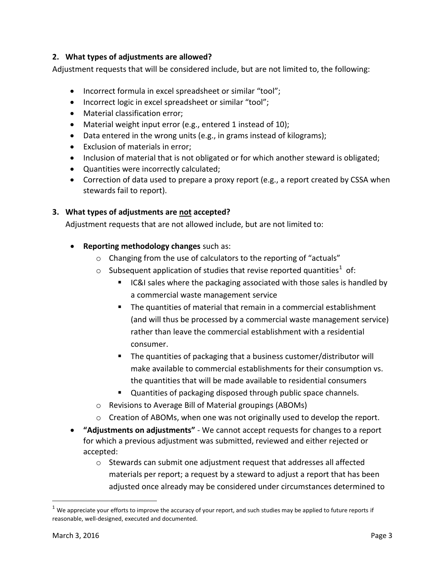#### **2. What types of adjustments are allowed?**

Adjustment requests that will be considered include, but are not limited to, the following:

- Incorrect formula in excel spreadsheet or similar "tool";
- Incorrect logic in excel spreadsheet or similar "tool";
- Material classification error:
- Material weight input error (e.g., entered 1 instead of 10);
- Data entered in the wrong units (e.g., in grams instead of kilograms);
- Exclusion of materials in error;
- Inclusion of material that is not obligated or for which another steward is obligated;
- Quantities were incorrectly calculated;
- Correction of data used to prepare a proxy report (e.g., a report created by CSSA when stewards fail to report).

#### **3. What types of adjustments are not accepted?**

Adjustment requests that are not allowed include, but are not limited to:

- **Reporting methodology changes** such as:
	- o Changing from the use of calculators to the reporting of "actuals"
	- $\circ$  Subsequent application of studies that revise reported quantities<sup>1</sup> of:
		- **IC&I** sales where the packaging associated with those sales is handled by a commercial waste management service
		- The quantities of material that remain in a commercial establishment (and will thus be processed by a commercial waste management service) rather than leave the commercial establishment with a residential consumer.
		- The quantities of packaging that a business customer/distributor will make available to commercial establishments for their consumption vs. the quantities that will be made available to residential consumers
		- Quantities of packaging disposed through public space channels.
	- o Revisions to Average Bill of Material groupings (ABOMs)
	- $\circ$  Creation of ABOMs, when one was not originally used to develop the report.
- **"Adjustments on adjustments"** We cannot accept requests for changes to a report for which a previous adjustment was submitted, reviewed and either rejected or accepted:
	- o Stewards can submit one adjustment request that addresses all affected materials per report; a request by a steward to adjust a report that has been adjusted once already may be considered under circumstances determined to

 $\overline{\phantom{a}}$ 

 $1$  We appreciate your efforts to improve the accuracy of your report, and such studies may be applied to future reports if reasonable, well-designed, executed and documented.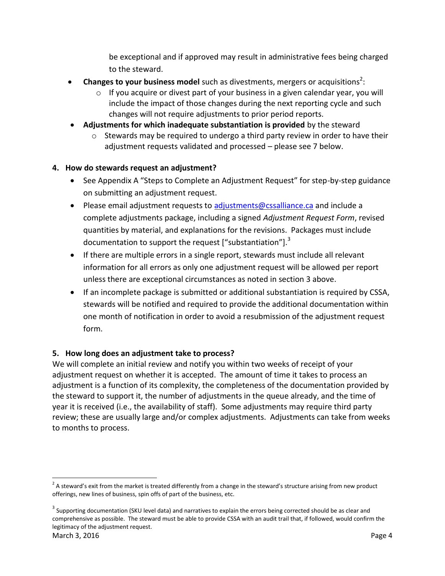be exceptional and if approved may result in administrative fees being charged to the steward.

- **Changes to your business model** such as divestments, mergers or acquisitions<sup>2</sup>:
	- $\circ$  If you acquire or divest part of your business in a given calendar year, you will include the impact of those changes during the next reporting cycle and such changes will not require adjustments to prior period reports.
- **Adjustments for which inadequate substantiation is provided** by the steward
	- o Stewards may be required to undergo a third party review in order to have their adjustment requests validated and processed – please see 7 below.

### **4. How do stewards request an adjustment?**

- See Appendix A "Steps to Complete an Adjustment Request" for step-by-step guidance on submitting an adjustment request.
- Please email adjustment requests to [adjustments@cssalliance.ca](mailto:adjustments@cssalliance.ca) and include a complete adjustments package, including a signed *Adjustment Request Form*, revised quantities by material, and explanations for the revisions. Packages must include documentation to support the request ["substantiation"]. $3$
- If there are multiple errors in a single report, stewards must include all relevant information for all errors as only one adjustment request will be allowed per report unless there are exceptional circumstances as noted in section 3 above.
- If an incomplete package is submitted or additional substantiation is required by CSSA, stewards will be notified and required to provide the additional documentation within one month of notification in order to avoid a resubmission of the adjustment request form.

### **5. How long does an adjustment take to process?**

We will complete an initial review and notify you within two weeks of receipt of your adjustment request on whether it is accepted. The amount of time it takes to process an adjustment is a function of its complexity, the completeness of the documentation provided by the steward to support it, the number of adjustments in the queue already, and the time of year it is received (i.e., the availability of staff). Some adjustments may require third party review; these are usually large and/or complex adjustments. Adjustments can take from weeks to months to process.

l  $^2$  A steward's exit from the market is treated differently from a change in the steward's structure arising from new product offerings, new lines of business, spin offs of part of the business, etc.

March 3, 2016 **Page 4**  $^3$  Supporting documentation (SKU level data) and narratives to explain the errors being corrected should be as clear and comprehensive as possible. The steward must be able to provide CSSA with an audit trail that, if followed, would confirm the legitimacy of the adjustment request.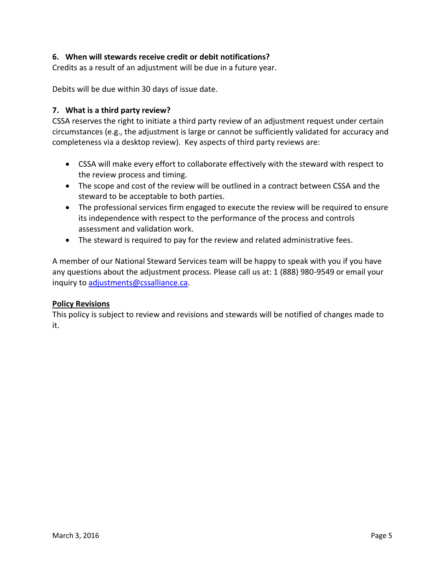#### **6. When will stewards receive credit or debit notifications?**

Credits as a result of an adjustment will be due in a future year.

Debits will be due within 30 days of issue date.

#### **7. What is a third party review?**

CSSA reserves the right to initiate a third party review of an adjustment request under certain circumstances (e.g., the adjustment is large or cannot be sufficiently validated for accuracy and completeness via a desktop review). Key aspects of third party reviews are:

- CSSA will make every effort to collaborate effectively with the steward with respect to the review process and timing.
- The scope and cost of the review will be outlined in a contract between CSSA and the steward to be acceptable to both parties.
- The professional services firm engaged to execute the review will be required to ensure its independence with respect to the performance of the process and controls assessment and validation work.
- The steward is required to pay for the review and related administrative fees.

A member of our National Steward Services team will be happy to speak with you if you have any questions about the adjustment process. Please call us at: 1 (888) 980-9549 or email your inquiry to [adjustments@cssalliance.ca.](mailto:adjustments@cssalliance.ca)

#### **Policy Revisions**

This policy is subject to review and revisions and stewards will be notified of changes made to it.